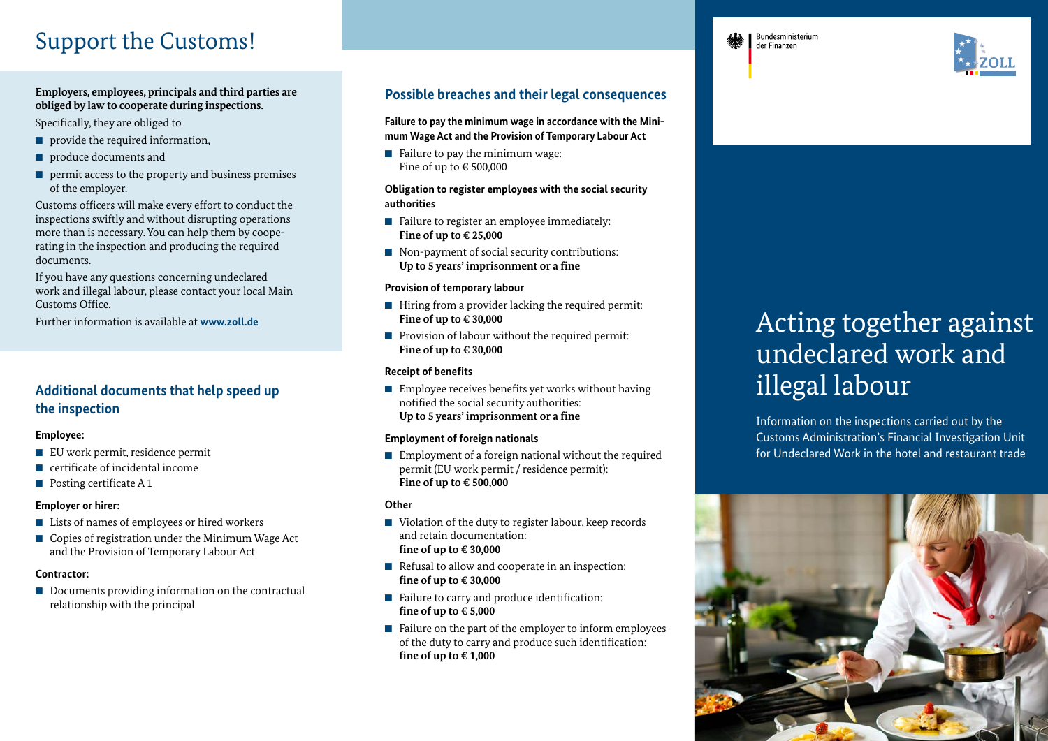# Support the Customs!

### **Employers, employees, principals and third parties are obliged by law to cooperate during inspections.**

Specifically, they are obliged to

- provide the required information,
- produce documents and
- permit access to the property and business premises of the employer.

Customs officers will make every effort to conduct the inspections swiftly and without disrupting operations more than is necessary. You can help them by cooperating in the inspection and producing the required documents.

If you have any questions concerning undeclared work and illegal labour, please contact your local Main Customs Office.

Further information is available at **www.zoll.de**

### **Additional documents that help speed up the inspection**

### **Employee:**

- EU work permit, residence permit
- certificate of incidental income
- Posting certificate A 1

### **Employer or hirer:**

- Lists of names of employees or hired workers
- Copies of registration under the Minimum Wage Act and the Provision of Temporary Labour Act

### **Contractor:**

■ Documents providing information on the contractual relationship with the principal

### **Possible breaches and their legal consequences**

**Failure to pay the minimum wage in accordance with the Minimum Wage Act and the Provision of Temporary Labour Act**

■ Failure to pay the minimum wage: Fine of up to  $\in$  500.000

### **Obligation to register employees with the social security authorities**

- Failure to register an employee immediately: **Fine of up to € 25,000**
- Non-payment of social security contributions: **Up to 5 years' imprisonment or a fine**

### **Provision of temporary labour**

- Hiring from a provider lacking the required permit: **Fine of up to € 30,000**
- Provision of labour without the required permit: **Fine of up to € 30,000**

### **Receipt of benefits**

■ Employee receives benefits yet works without having notified the social security authorities: **Up to 5 years' imprisonment or a fine**

### **Employment of foreign nationals**

■ Employment of a foreign national without the required permit (EU work permit / residence permit): **Fine of up to € 500,000** 

### **Other**

- Violation of the duty to register labour, keep records and retain documentation: **fine of up to € 30,000**
- Refusal to allow and cooperate in an inspection: **fine of up to € 30,000**
- Failure to carry and produce identification: **fine of up to € 5,000**
- Failure on the part of the employer to inform employees of the duty to carry and produce such identification: **fine of up to € 1,000**

# Acting together against undeclared work and illegal labour

Information on the inspections carried out by the Customs Administration's Financial Investigation Unit for Undeclared Work in the hotel and restaurant trade





Bundesministerium der Finanzen